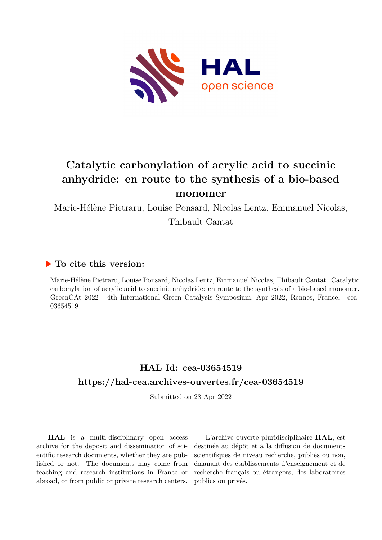

# **Catalytic carbonylation of acrylic acid to succinic anhydride: en route to the synthesis of a bio-based monomer**

Marie-Hélène Pietraru, Louise Ponsard, Nicolas Lentz, Emmanuel Nicolas,

Thibault Cantat

### **To cite this version:**

Marie-Hélène Pietraru, Louise Ponsard, Nicolas Lentz, Emmanuel Nicolas, Thibault Cantat. Catalytic carbonylation of acrylic acid to succinic anhydride: en route to the synthesis of a bio-based monomer. GreenCAt 2022 - 4th International Green Catalysis Symposium, Apr 2022, Rennes, France. cea-03654519

## **HAL Id: cea-03654519 <https://hal-cea.archives-ouvertes.fr/cea-03654519>**

Submitted on 28 Apr 2022

**HAL** is a multi-disciplinary open access archive for the deposit and dissemination of scientific research documents, whether they are published or not. The documents may come from teaching and research institutions in France or abroad, or from public or private research centers.

L'archive ouverte pluridisciplinaire **HAL**, est destinée au dépôt et à la diffusion de documents scientifiques de niveau recherche, publiés ou non, émanant des établissements d'enseignement et de recherche français ou étrangers, des laboratoires publics ou privés.